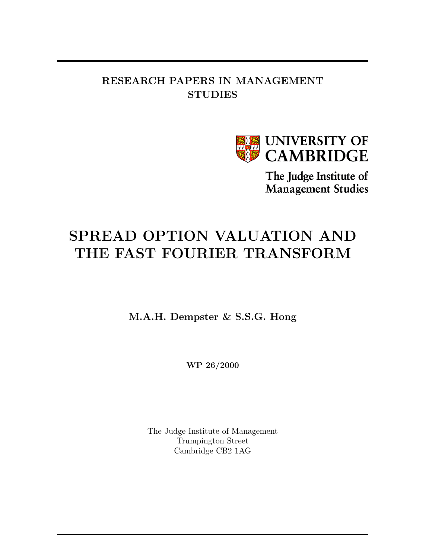## RESEARCH PAPERS IN MANAGEMENT **STUDIES**



The Judge Institute of **Management Studies** 

# SPREAD OPTION VALUATION AND THE FAST FOURIER TRANSFORM

M.A.H. Dempster & S.S.G. Hong

WP 26/2000

The Judge Institute of Management Trumpington Street Cambridge CB2 1AG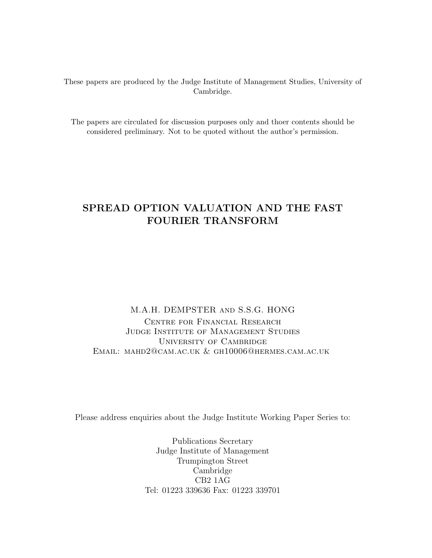These papers are produced by the Judge Institute of Management Studies, University of Cambridge.

The papers are circulated for discussion purposes only and thoer contents should be considered preliminary. Not to be quoted without the author's permission.

## SPREAD OPTION VALUATION AND THE FAST FOURIER TRANSFORM

M.A.H. DEMPSTER and S.S.G. HONG Centre for Financial Research Judge Institute of Management Studies University of Cambridge Email: mahd2@cam.ac.uk & gh10006@hermes.cam.ac.uk

Please address enquiries about the Judge Institute Working Paper Series to:

Publications Secretary Judge Institute of Management Trumpington Street Cambridge CB2 1AG Tel: 01223 339636 Fax: 01223 339701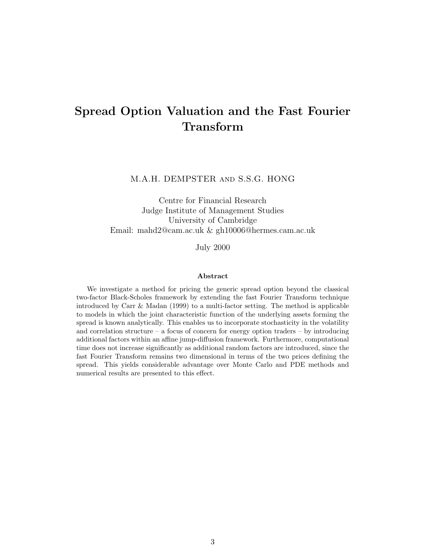## Spread Option Valuation and the Fast Fourier Transform

#### M.A.H. DEMPSTER and S.S.G. HONG

Centre for Financial Research Judge Institute of Management Studies University of Cambridge Email: mahd2@cam.ac.uk & gh10006@hermes.cam.ac.uk

July 2000

#### Abstract

We investigate a method for pricing the generic spread option beyond the classical two-factor Black-Scholes framework by extending the fast Fourier Transform technique introduced by Carr & Madan (1999) to a multi-factor setting. The method is applicable to models in which the joint characteristic function of the underlying assets forming the spread is known analytically. This enables us to incorporate stochasticity in the volatility and correlation structure – a focus of concern for energy option traders – by introducing additional factors within an affine jump-diffusion framework. Furthermore, computational time does not increase significantly as additional random factors are introduced, since the fast Fourier Transform remains two dimensional in terms of the two prices defining the spread. This yields considerable advantage over Monte Carlo and PDE methods and numerical results are presented to this effect.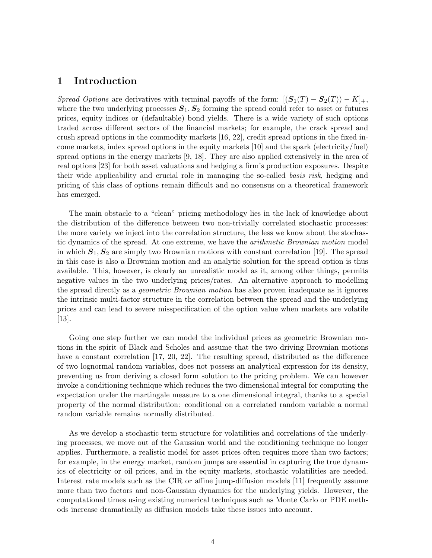### 1 Introduction

Spread Options are derivatives with terminal payoffs of the form:  $[(S_1(T) - S_2(T)) - K]_+,$ where the two underlying processes  $S_1, S_2$  forming the spread could refer to asset or futures prices, equity indices or (defaultable) bond yields. There is a wide variety of such options traded across different sectors of the financial markets; for example, the crack spread and crush spread options in the commodity markets [16, 22], credit spread options in the fixed income markets, index spread options in the equity markets [10] and the spark (electricity/fuel) spread options in the energy markets [9, 18]. They are also applied extensively in the area of real options [23] for both asset valuations and hedging a firm's production exposures. Despite their wide applicability and crucial role in managing the so-called basis risk, hedging and pricing of this class of options remain difficult and no consensus on a theoretical framework has emerged.

The main obstacle to a "clean" pricing methodology lies in the lack of knowledge about the distribution of the difference between two non-trivially correlated stochastic processes: the more variety we inject into the correlation structure, the less we know about the stochastic dynamics of the spread. At one extreme, we have the *arithmetic Brownian motion* model in which  $S_1, S_2$  are simply two Brownian motions with constant correlation [19]. The spread in this case is also a Brownian motion and an analytic solution for the spread option is thus available. This, however, is clearly an unrealistic model as it, among other things, permits negative values in the two underlying prices/rates. An alternative approach to modelling the spread directly as a *geometric Brownian motion* has also proven inadequate as it ignores the intrinsic multi-factor structure in the correlation between the spread and the underlying prices and can lead to severe misspecification of the option value when markets are volatile [13].

Going one step further we can model the individual prices as geometric Brownian motions in the spirit of Black and Scholes and assume that the two driving Brownian motions have a constant correlation [17, 20, 22]. The resulting spread, distributed as the difference of two lognormal random variables, does not possess an analytical expression for its density, preventing us from deriving a closed form solution to the pricing problem. We can however invoke a conditioning technique which reduces the two dimensional integral for computing the expectation under the martingale measure to a one dimensional integral, thanks to a special property of the normal distribution: conditional on a correlated random variable a normal random variable remains normally distributed.

As we develop a stochastic term structure for volatilities and correlations of the underlying processes, we move out of the Gaussian world and the conditioning technique no longer applies. Furthermore, a realistic model for asset prices often requires more than two factors; for example, in the energy market, random jumps are essential in capturing the true dynamics of electricity or oil prices, and in the equity markets, stochastic volatilities are needed. Interest rate models such as the CIR or affine jump-diffusion models [11] frequently assume more than two factors and non-Gaussian dynamics for the underlying yields. However, the computational times using existing numerical techniques such as Monte Carlo or PDE methods increase dramatically as diffusion models take these issues into account.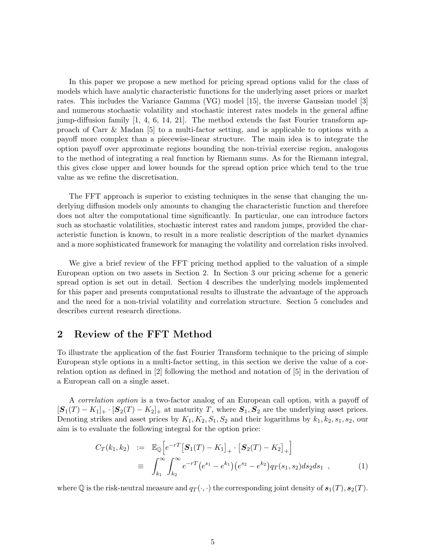In this paper we propose a new method for pricing spread options valid for the class of models which have analytic characteristic functions for the underlying asset prices or market rates. This includes the Variance Gamma (VG) model [15], the inverse Gaussian model [3] and numerous stochastic volatility and stochastic interest rates models in the general affine jump-diffusion family [1, 4, 6, 14, 21]. The method extends the fast Fourier transform approach of Carr & Madan [5] to a multi-factor setting, and is applicable to options with a payoff more complex than a piecewise-linear structure. The main idea is to integrate the option payoff over approximate regions bounding the non-trivial exercise region, analogous to the method of integrating a real function by Riemann sums. As for the Riemann integral, this gives close upper and lower bounds for the spread option price which tend to the true value as we refine the discretisation.

The FFT approach is superior to existing techniques in the sense that changing the underlying diffusion models only amounts to changing the characteristic function and therefore does not alter the computational time significantly. In particular, one can introduce factors such as stochastic volatilities, stochastic interest rates and random jumps, provided the characteristic function is known, to result in a more realistic description of the market dynamics and a more sophisticated framework for managing the volatility and correlation risks involved.

We give a brief review of the FFT pricing method applied to the valuation of a simple European option on two assets in Section 2. In Section 3 our pricing scheme for a generic spread option is set out in detail. Section 4 describes the underlying models implemented for this paper and presents computational results to illustrate the advantage of the approach and the need for a non-trivial volatility and correlation structure. Section 5 concludes and describes current research directions.

## 2 Review of the FFT Method

To illustrate the application of the fast Fourier Transform technique to the pricing of simple European style options in a multi-factor setting, in this section we derive the value of a correlation option as defined in [2] following the method and notation of [5] in the derivation of a European call on a single asset.

A correlation option is a two-factor analog of an European call option, with a payoff of  $[S_1(T) - K_1]_+ \cdot [S_2(T) - K_2]_+$  at maturity T, where  $S_1, S_2$  are the underlying asset prices. Denoting strikes and asset prices by  $K_1, K_2, S_1, S_2$  and their logarithms by  $k_1, k_2, s_1, s_2$ , our aim is to evaluate the following integral for the option price:

$$
C_T(k_1, k_2) := \mathbb{E}_{\mathbb{Q}} \Big[ e^{-rT} \Big[ \mathbf{S}_1(T) - K_1 \Big]_+ \cdot \Big[ \mathbf{S}_2(T) - K_2 \Big]_+ \Big] \n\equiv \int_{k_1}^{\infty} \int_{k_2}^{\infty} e^{-rT} \Big( e^{s_1} - e^{k_1} \Big) \Big( e^{s_2} - e^{k_2} \Big) q_T(s_1, s_2) ds_2 ds_1 ,
$$
\n(1)

where Q is the risk-neutral measure and  $q_T(\cdot, \cdot)$  the corresponding joint density of  $s_1(T), s_2(T)$ .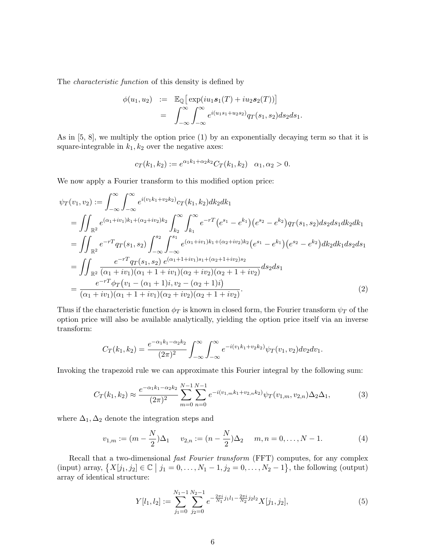The characteristic function of this density is defined by

$$
\begin{array}{rcl}\n\phi(u_1, u_2) & := & \mathbb{E}_{\mathbb{Q}}\big[\exp(iu_1\mathbf{s}_1(T) + iu_2\mathbf{s}_2(T))\big] \\
& = & \int_{-\infty}^{\infty} \int_{-\infty}^{\infty} e^{i(u_1s_1 + u_2s_2)} q_T(s_1, s_2) ds_2 ds_1.\n\end{array}
$$

As in  $[5, 8]$ , we multiply the option price  $(1)$  by an exponentially decaying term so that it is square-integrable in  $k_1, k_2$  over the negative axes:

$$
c_T(k_1, k_2) := e^{\alpha_1 k_1 + \alpha_2 k_2} C_T(k_1, k_2) \quad \alpha_1, \alpha_2 > 0.
$$

We now apply a Fourier transform to this modified option price:

$$
\psi_T(v_1, v_2) := \int_{-\infty}^{\infty} \int_{-\infty}^{\infty} e^{i(v_1 k_1 + v_2 k_2)} c_T(k_1, k_2) dk_2 dk_1
$$
  
\n
$$
= \iint_{\mathbb{R}^2} e^{(\alpha_1 + iv_1)k_1 + (\alpha_2 + iv_2)k_2} \int_{k_2}^{\infty} \int_{k_1}^{\infty} e^{-r} (e^{s_1} - e^{k_1}) (e^{s_2} - e^{k_2}) q_T(s_1, s_2) ds_2 ds_1 dk_2 dk_1
$$
  
\n
$$
= \iint_{\mathbb{R}^2} e^{-r} q_T(s_1, s_2) \int_{-\infty}^{s_2} \int_{-\infty}^{s_1} e^{(\alpha_1 + iv_1)k_1 + (\alpha_2 + iv_2)k_2} (e^{s_1} - e^{k_1}) (e^{s_2} - e^{k_2}) dk_2 dk_1 ds_2 ds_1
$$
  
\n
$$
= \iint_{\mathbb{R}^2} \frac{e^{-r} q_T(s_1, s_2) e^{(\alpha_1 + 1 + iv_1) s_1 + (\alpha_2 + 1 + iv_2) s_2}}{(\alpha_1 + iv_1)(\alpha_1 + 1 + iv_1)(\alpha_2 + iv_2)(\alpha_2 + 1 + iv_2)} ds_2 ds_1
$$
  
\n
$$
= \frac{e^{-r} \phi_T(v_1 - (\alpha_1 + 1)i, v_2 - (\alpha_2 + 1)i)}{(\alpha_1 + iv_1)(\alpha_1 + 1 + iv_1)(\alpha_2 + iv_2)(\alpha_2 + 1 + iv_2)}.
$$
 (2)

Thus if the characteristic function  $\phi_T$  is known in closed form, the Fourier transform  $\psi_T$  of the option price will also be available analytically, yielding the option price itself via an inverse transform:

$$
C_T(k_1, k_2) = \frac{e^{-\alpha_1 k_1 - \alpha_2 k_2}}{(2\pi)^2} \int_{-\infty}^{\infty} \int_{-\infty}^{\infty} e^{-i(v_1 k_1 + v_2 k_2)} \psi_T(v_1, v_2) dv_2 dv_1.
$$

Invoking the trapezoid rule we can approximate this Fourier integral by the following sum:

$$
C_T(k_1, k_2) \approx \frac{e^{-\alpha_1 k_1 - \alpha_2 k_2}}{(2\pi)^2} \sum_{m=0}^{N-1} \sum_{n=0}^{N-1} e^{-i(v_{1,m}k_1 + v_{2,n}k_2)} \psi_T(v_{1,m}, v_{2,n}) \Delta_2 \Delta_1,
$$
(3)

where  $\Delta_1, \Delta_2$  denote the integration steps and

$$
v_{1,m} := (m - \frac{N}{2})\Delta_1 \qquad v_{2,n} := (n - \frac{N}{2})\Delta_2 \qquad m, n = 0, \dots, N - 1. \tag{4}
$$

Recall that a two-dimensional fast Fourier transform (FFT) computes, for any complex (input) array,  $\{X[j_1, j_2] \in \mathbb{C} \mid j_1 = 0, \ldots, N_1 - 1, j_2 = 0, \ldots, N_2 - 1\}$ , the following (output) array of identical structure:

$$
Y[l_1, l_2] := \sum_{j_1=0}^{N_1-1} \sum_{j_2=0}^{N_2-1} e^{-\frac{2\pi i}{N_1}j_1l_1 - \frac{2\pi i}{N_2}j_2l_2} X[j_1, j_2],\tag{5}
$$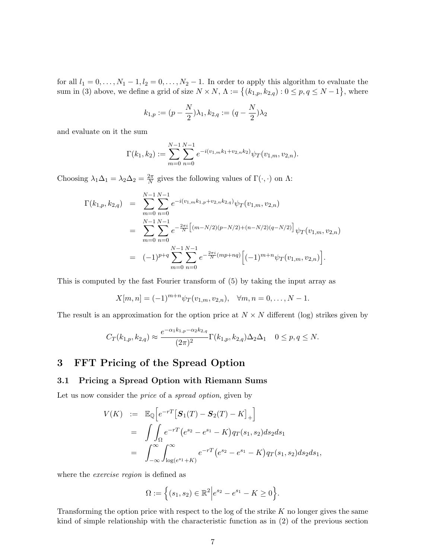for all  $l_1 = 0, \ldots, N_1 - 1, l_2 = 0, \ldots, N_2 - 1$ . In order to apply this algorithm to evaluate the sum in (3) above, we define a grid of size  $N \times N$ ,  $\Lambda := \{(k_{1,p}, k_{2,q}) : 0 \le p, q \le N-1\}$ , where

$$
k_{1,p} := (p - \frac{N}{2})\lambda_1, k_{2,q} := (q - \frac{N}{2})\lambda_2
$$

and evaluate on it the sum

$$
\Gamma(k_1, k_2) := \sum_{m=0}^{N-1} \sum_{n=0}^{N-1} e^{-i(v_{1,m}k_1 + v_{2,n}k_2)} \psi_T(v_{1,m}, v_{2,n}).
$$

Choosing  $\lambda_1 \Delta_1 = \lambda_2 \Delta_2 = \frac{2\pi}{N}$  $\frac{2\pi}{N}$  gives the following values of  $\Gamma(\cdot, \cdot)$  on  $\Lambda$ :

$$
\Gamma(k_{1,p}, k_{2,q}) = \sum_{m=0}^{N-1} \sum_{n=0}^{N-1} e^{-i(v_{1,m}k_{1,p} + v_{2,n}k_{2,q})} \psi_T(v_{1,m}, v_{2,n})
$$
  
\n
$$
= \sum_{m=0}^{N-1} \sum_{n=0}^{N-1} e^{-\frac{2\pi i}{N} \left[ (m - N/2)(p - N/2) + (n - N/2)(q - N/2) \right]} \psi_T(v_{1,m}, v_{2,n})
$$
  
\n
$$
= (-1)^{p+q} \sum_{m=0}^{N-1} \sum_{n=0}^{N-1} e^{-\frac{2\pi i}{N} (mp+nq)} \left[ (-1)^{m+n} \psi_T(v_{1,m}, v_{2,n}) \right].
$$

This is computed by the fast Fourier transform of (5) by taking the input array as

$$
X[m,n] = (-1)^{m+n} \psi_T(v_{1,m}, v_{2,n}), \quad \forall m, n = 0, \dots, N-1.
$$

The result is an approximation for the option price at  $N \times N$  different (log) strikes given by

$$
C_T(k_{1,p}, k_{2,q}) \approx \frac{e^{-\alpha_1 k_{1,p} - \alpha_2 k_{2,q}}}{(2\pi)^2} \Gamma(k_{1,p}, k_{2,q}) \Delta_2 \Delta_1 \quad 0 \le p, q \le N.
$$

## 3 FFT Pricing of the Spread Option

#### 3.1 Pricing a Spread Option with Riemann Sums

Let us now consider the *price* of a *spread option*, given by

$$
V(K) := \mathbb{E}_{\mathbb{Q}} \Big[ e^{-rT} \big[ \mathbf{S}_1(T) - \mathbf{S}_2(T) - K \big]_+ \Big]
$$
  
= 
$$
\int_{\Omega} e^{-rT} (e^{s_2} - e^{s_1} - K) q_T(s_1, s_2) ds_2 ds_1
$$
  
= 
$$
\int_{-\infty}^{\infty} \int_{\log(e^{s_1} + K)}^{\infty} e^{-rT} (e^{s_2} - e^{s_1} - K) q_T(s_1, s_2) ds_2 ds_1,
$$

where the *exercise region* is defined as

$$
\Omega := \Big\{ (s_1, s_2) \in \mathbb{R}^2 \Big| e^{s_2} - e^{s_1} - K \ge 0 \Big\}.
$$

Transforming the option price with respect to the log of the strike  $K$  no longer gives the same kind of simple relationship with the characteristic function as in (2) of the previous section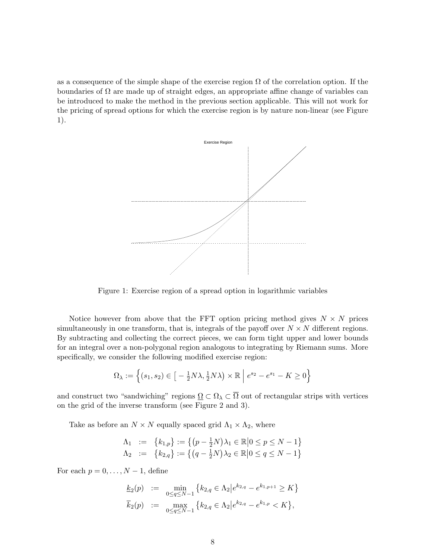as a consequence of the simple shape of the exercise region  $\Omega$  of the correlation option. If the boundaries of  $\Omega$  are made up of straight edges, an appropriate affine change of variables can be introduced to make the method in the previous section applicable. This will not work for the pricing of spread options for which the exercise region is by nature non-linear (see Figure 1).



Figure 1: Exercise region of a spread option in logarithmic variables

Notice however from above that the FFT option pricing method gives  $N \times N$  prices simultaneously in one transform, that is, integrals of the payoff over  $N \times N$  different regions. By subtracting and collecting the correct pieces, we can form tight upper and lower bounds for an integral over a non-polygonal region analogous to integrating by Riemann sums. More specifically, we consider the following modified exercise region:

$$
\Omega_{\lambda} := \left\{ (s_1, s_2) \in \left[ -\frac{1}{2} N \lambda, \frac{1}{2} N \lambda \right) \times \mathbb{R} \middle| e^{s_2} - e^{s_1} - K \ge 0 \right\}
$$

and construct two "sandwiching" regions  $\Omega \subset \Omega_\lambda \subset \overline{\Omega}$  out of rectangular strips with vertices on the grid of the inverse transform (see Figure 2 and 3).

Take as before an  $N \times N$  equally spaced grid  $\Lambda_1 \times \Lambda_2$ , where

$$
\begin{array}{rcl}\n\Lambda_1 & := & \{k_{1,p}\} := \left\{ (p - \frac{1}{2}N)\lambda_1 \in \mathbb{R} \middle| 0 \le p \le N - 1 \right\} \\
\Lambda_2 & := & \{k_{2,q}\} := \left\{ (q - \frac{1}{2}N)\lambda_2 \in \mathbb{R} \middle| 0 \le q \le N - 1 \right\}\n\end{array}
$$

For each  $p = 0, \ldots, N - 1$ , define

$$
\underline{k}_2(p) := \min_{0 \le q \le N-1} \{ k_{2,q} \in \Lambda_2 \mid e^{k_{2,q}} - e^{k_{1,p+1}} \ge K \}
$$
  

$$
\overline{k}_2(p) := \max_{0 \le q \le N-1} \{ k_{2,q} \in \Lambda_2 \mid e^{k_{2,q}} - e^{k_{1,p}} < K \},
$$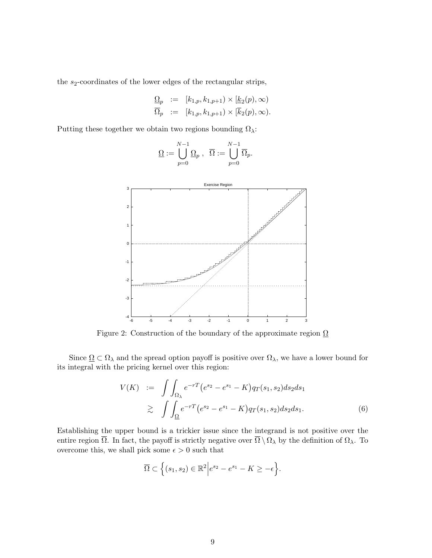the  $s_2$ -coordinates of the lower edges of the rectangular strips,

$$
\begin{array}{rcl}\n\underline{\Omega}_p & := & [k_{1,p}, k_{1,p+1}) \times [\underline{k}_2(p), \infty) \\
\overline{\Omega}_p & := & [k_{1,p}, k_{1,p+1}) \times [\overline{k}_2(p), \infty).\n\end{array}
$$

Putting these together we obtain two regions bounding  $\Omega_{\lambda}$ :



$$
\underline{\Omega}:=\bigcup_{p=0}^{N-1}\underline{\Omega}_p\ ,\ \ \overline{\Omega}:=\bigcup_{p=0}^{N-1}\overline{\Omega}_p.
$$

Figure 2: Construction of the boundary of the approximate region  $\Omega$ 

Since  $\Omega \subset \Omega_\lambda$  and the spread option payoff is positive over  $\Omega_\lambda$ , we have a lower bound for its integral with the pricing kernel over this region:

$$
V(K) := \int \int_{\Omega_{\lambda}} e^{-rT} (e^{s_2} - e^{s_1} - K) q_T(s_1, s_2) ds_2 ds_1
$$
  

$$
\geq \int \int_{\Omega} e^{-rT} (e^{s_2} - e^{s_1} - K) q_T(s_1, s_2) ds_2 ds_1.
$$
 (6)

Establishing the upper bound is a trickier issue since the integrand is not positive over the entire region  $\overline{\Omega}$ . In fact, the payoff is strictly negative over  $\overline{\Omega} \setminus \Omega_{\lambda}$  by the definition of  $\Omega_{\lambda}$ . To overcome this, we shall pick some  $\epsilon > 0$  such that

$$
\overline{\Omega} \subset \left\{ (s_1, s_2) \in \mathbb{R}^2 \middle| e^{s_2} - e^{s_1} - K \ge -\epsilon \right\}.
$$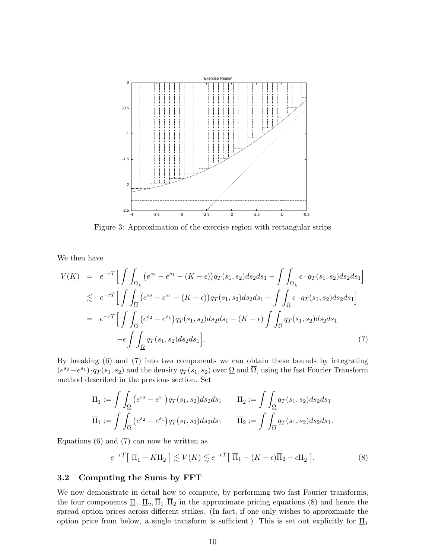

Figure 3: Approximation of the exercise region with rectangular strips

We then have

$$
V(K) = e^{-rT} \Big[ \int \int_{\Omega_{\lambda}} (e^{s_2} - e^{s_1} - (K - \epsilon)) q_T(s_1, s_2) ds_2 ds_1 - \int \int_{\Omega_{\lambda}} \epsilon \cdot q_T(s_1, s_2) ds_2 ds_1 \Big]
$$
  
\n
$$
\lesssim e^{-rT} \Big[ \int \int_{\overline{\Omega}} (e^{s_2} - e^{s_1} - (K - \epsilon)) q_T(s_1, s_2) ds_2 ds_1 - \int \int_{\underline{\Omega}} \epsilon \cdot q_T(s_1, s_2) ds_2 ds_1 \Big]
$$
  
\n
$$
= e^{-rT} \Big[ \int \int_{\overline{\Omega}} (e^{s_2} - e^{s_1}) q_T(s_1, s_2) ds_2 ds_1 - (K - \epsilon) \int \int_{\overline{\Omega}} q_T(s_1, s_2) ds_2 ds_1 - \epsilon \int \int_{\underline{\Omega}} q_T(s_1, s_2) ds_2 ds_1 \Big]. \tag{7}
$$

By breaking (6) and (7) into two components we can obtain these bounds by integrating  $(e^{s_2}-e^{s_1})\cdot q_T(s_1,s_2)$  and the density  $q_T(s_1,s_2)$  over  $\Omega$  and  $\overline{\Omega}$ , using the fast Fourier Transform method described in the previous section. Set

$$
\underline{\Pi}_1 := \int \int_{\Omega} (e^{s_2} - e^{s_1}) q_T(s_1, s_2) ds_2 ds_1 \qquad \underline{\Pi}_2 := \int \int_{\Omega} q_T(s_1, s_2) ds_2 ds_1 \n\overline{\Pi}_1 := \int \int_{\overline{\Omega}} (e^{s_2} - e^{s_1}) q_T(s_1, s_2) ds_2 ds_1 \qquad \overline{\Pi}_2 := \int \int_{\overline{\Omega}} q_T(s_1, s_2) ds_2 ds_1.
$$

Equations (6) and (7) can now be written as

$$
e^{-rT} \left[ \underline{\Pi}_1 - K \underline{\Pi}_2 \right] \lesssim V(K) \lesssim e^{-rT} \left[ \overline{\Pi}_1 - (K - \epsilon) \overline{\Pi}_2 - \epsilon \underline{\Pi}_2 \right]. \tag{8}
$$

#### 3.2 Computing the Sums by FFT

We now demonstrate in detail how to compute, by performing two fast Fourier transforms, the four components  $\underline{\Pi}_1, \underline{\Pi}_2, \Pi_1, \Pi_2$  in the approximate pricing equations (8) and hence the spread option prices across different strikes. (In fact, if one only wishes to approximate the option price from below, a single transform is sufficient.) This is set out explicitly for  $\mathbf{I}_{1}$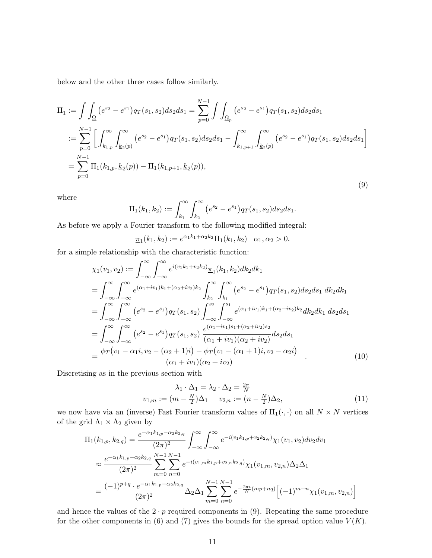below and the other three cases follow similarly.

$$
\underline{\Pi}_{1} := \int \int_{\Omega} (e^{s_2} - e^{s_1}) q_T(s_1, s_2) ds_2 ds_1 = \sum_{p=0}^{N-1} \int \int_{\Omega_p} (e^{s_2} - e^{s_1}) q_T(s_1, s_2) ds_2 ds_1 \n:= \sum_{p=0}^{N-1} \left[ \int_{k_{1,p}}^{\infty} \int_{k_2(p)}^{\infty} (e^{s_2} - e^{s_1}) q_T(s_1, s_2) ds_2 ds_1 - \int_{k_{1,p+1}}^{\infty} \int_{k_2(p)}^{\infty} (e^{s_2} - e^{s_1}) q_T(s_1, s_2) ds_2 ds_1 \right] \n= \sum_{p=0}^{N-1} \Pi_1(k_{1,p}, \underline{k}_2(p)) - \Pi_1(k_{1,p+1}, \underline{k}_2(p)),
$$
\n(9)

where

$$
\Pi_1(k_1, k_2) := \int_{k_1}^{\infty} \int_{k_2}^{\infty} (e^{s_2} - e^{s_1}) q_T(s_1, s_2) ds_2 ds_1.
$$

As before we apply a Fourier transform to the following modified integral:

$$
\underline{\pi}_1(k_1,k_2) := e^{\alpha_1 k_1 + \alpha_2 k_2} \Pi_1(k_1,k_2) \quad \alpha_1, \alpha_2 > 0.
$$

for a simple relationship with the characteristic function:

$$
\chi_{1}(v_{1}, v_{2}) := \int_{-\infty}^{\infty} \int_{-\infty}^{\infty} e^{i(v_{1}k_{1}+v_{2}k_{2})} \frac{\pi_{1}(k_{1}, k_{2})dk_{2}dk_{1}}{\pi_{1}(k_{2}+iv_{2})k_{2}} \int_{k_{2}}^{\infty} \int_{k_{1}}^{\infty} (e^{s_{2}} - e^{s_{1}}) q_{T}(s_{1}, s_{2}) ds_{2}ds_{1} dk_{2} dk_{1}
$$
  
\n
$$
= \int_{-\infty}^{\infty} \int_{-\infty}^{\infty} (e^{s_{2}} - e^{s_{1}}) q_{T}(s_{1}, s_{2}) \int_{-\infty}^{s_{2}} \int_{-\infty}^{s_{1}} e^{(\alpha_{1}+iv_{1})k_{1}+(\alpha_{2}+iv_{2})k_{2}} dk_{2} ds_{1} ds_{2} ds_{1}
$$
  
\n
$$
= \int_{-\infty}^{\infty} \int_{-\infty}^{\infty} (e^{s_{2}} - e^{s_{1}}) q_{T}(s_{1}, s_{2}) \frac{e^{(\alpha_{1}+iv_{1})s_{1}+(\alpha_{2}+iv_{2})s_{2}}}{(\alpha_{1}+iv_{1})(\alpha_{2}+iv_{2})} ds_{2} ds_{1}
$$
  
\n
$$
= \frac{\phi_{T}(v_{1}-\alpha_{1}i, v_{2}-(\alpha_{2}+1)i)-\phi_{T}(v_{1}-(\alpha_{1}+1)i, v_{2}-\alpha_{2}i)}{(\alpha_{1}+iv_{1})(\alpha_{2}+iv_{2})} .
$$
  
\n(10)

Discretising as in the previous section with

$$
\lambda_1 \cdot \Delta_1 = \lambda_2 \cdot \Delta_2 = \frac{2\pi}{N}
$$
  

$$
v_{1,m} := (m - \frac{N}{2})\Delta_1 \qquad v_{2,n} := (n - \frac{N}{2})\Delta_2,
$$
 (11)

we now have via an (inverse) Fast Fourier transform values of  $\Pi_1(\cdot, \cdot)$  on all  $N \times N$  vertices of the grid  $\Lambda_1 \times \Lambda_2$  given by

$$
\Pi_{1}(k_{1,p}, k_{2,q}) = \frac{e^{-\alpha_{1}k_{1,p}-\alpha_{2}k_{2,q}}}{(2\pi)^{2}} \int_{-\infty}^{\infty} \int_{-\infty}^{\infty} e^{-i(v_{1}k_{1,p}+v_{2}k_{2,q})} \chi_{1}(v_{1}, v_{2}) \, dv_{2} \, dv_{1}
$$
\n
$$
\approx \frac{e^{-\alpha_{1}k_{1,p}-\alpha_{2}k_{2,q}}}{(2\pi)^{2}} \sum_{m=0}^{N-1} \sum_{n=0}^{N-1} e^{-i(v_{1,m}k_{1,p}+v_{2,n}k_{2,q})} \chi_{1}(v_{1,m}, v_{2,n}) \Delta_{2} \Delta_{1}
$$
\n
$$
= \frac{(-1)^{p+q} \cdot e^{-\alpha_{1}k_{1,p}-\alpha_{2}k_{2,q}}}{(2\pi)^{2}} \Delta_{2} \Delta_{1} \sum_{m=0}^{N-1} \sum_{n=0}^{N-1} e^{-\frac{2\pi i}{N}(mp+nq)} \Big[ (-1)^{m+n} \chi_{1}(v_{1,m}, v_{2,n}) \Big]
$$

and hence the values of the  $2 \cdot p$  required components in (9). Repeating the same procedure for the other components in (6) and (7) gives the bounds for the spread option value  $V(K)$ .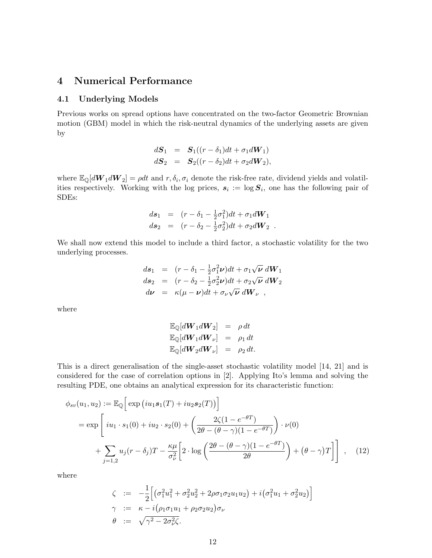### 4 Numerical Performance

#### 4.1 Underlying Models

Previous works on spread options have concentrated on the two-factor Geometric Brownian motion (GBM) model in which the risk-neutral dynamics of the underlying assets are given by

$$
dS_1 = S_1((r - \delta_1)dt + \sigma_1 dW_1)
$$
  

$$
dS_2 = S_2((r - \delta_2)dt + \sigma_2 dW_2),
$$

where  $\mathbb{E}_{\mathbb{Q}}[d\bm{W}_1 d\bm{W}_2] = \rho dt$  and  $r, \delta_i, \sigma_i$  denote the risk-free rate, dividend yields and volatilities respectively. Working with the log prices,  $s_i := \log S_i$ , one has the following pair of SDEs:

$$
ds_1 = (r - \delta_1 - \frac{1}{2}\sigma_1^2)dt + \sigma_1 dW_1
$$
  
\n
$$
ds_2 = (r - \delta_2 - \frac{1}{2}\sigma_2^2)dt + \sigma_2 dW_2.
$$

We shall now extend this model to include a third factor, a stochastic volatility for the two underlying processes.

$$
ds_1 = (r - \delta_1 - \frac{1}{2}\sigma_1^2 \nu)dt + \sigma_1\sqrt{\nu} dW_1
$$
  
\n
$$
ds_2 = (r - \delta_2 - \frac{1}{2}\sigma_2^2 \nu)dt + \sigma_2\sqrt{\nu} dW_2
$$
  
\n
$$
d\nu = \kappa(\mu - \nu)dt + \sigma_\nu\sqrt{\nu} dW_\nu,
$$

where

$$
\mathbb{E}_{\mathbb{Q}}[d\mathbf{W}_1 d\mathbf{W}_2] = \rho dt
$$
  

$$
\mathbb{E}_{\mathbb{Q}}[d\mathbf{W}_1 d\mathbf{W}_\nu] = \rho_1 dt
$$
  

$$
\mathbb{E}_{\mathbb{Q}}[d\mathbf{W}_2 d\mathbf{W}_\nu] = \rho_2 dt.
$$

This is a direct generalisation of the single-asset stochastic volatility model [14, 21] and is considered for the case of correlation options in [2]. Applying Ito's lemma and solving the resulting PDE, one obtains an analytical expression for its characteristic function:

$$
\phi_{sv}(u_1, u_2) := \mathbb{E}_{\mathbb{Q}} \Big[ \exp \Big( i u_1 s_1(T) + i u_2 s_2(T) \Big) \Big]
$$
  
= 
$$
\exp \Bigg[ i u_1 \cdot s_1(0) + i u_2 \cdot s_2(0) + \left( \frac{2\zeta(1 - e^{-\theta T})}{2\theta - (\theta - \gamma)(1 - e^{-\theta T})} \right) \cdot \nu(0)
$$
  
+ 
$$
\sum_{j=1,2} u_j(r - \delta_j) T - \frac{\kappa \mu}{\sigma_\nu^2} \Big[ 2 \cdot \log \left( \frac{2\theta - (\theta - \gamma)(1 - e^{-\theta T})}{2\theta} \right) + (\theta - \gamma) T \Big] \Bigg], \quad (12)
$$

where

$$
\zeta := -\frac{1}{2} \Big[ \big( \sigma_1^2 u_1^2 + \sigma_2^2 u_2^2 + 2 \rho \sigma_1 \sigma_2 u_1 u_2 \big) + i \big( \sigma_1^2 u_1 + \sigma_2^2 u_2 \big) \Big] \n\gamma := \kappa - i \big( \rho_1 \sigma_1 u_1 + \rho_2 \sigma_2 u_2 \big) \sigma_\nu \n\theta := \sqrt{\gamma^2 - 2 \sigma_\nu^2 \zeta}.
$$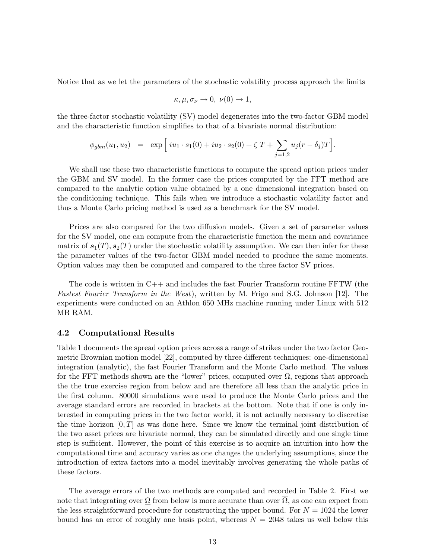Notice that as we let the parameters of the stochastic volatility process approach the limits

$$
\kappa, \mu, \sigma_{\nu} \to 0, \nu(0) \to 1,
$$

the three-factor stochastic volatility (SV) model degenerates into the two-factor GBM model and the characteristic function simplifies to that of a bivariate normal distribution:

$$
\phi_{gbm}(u_1, u_2) = \exp \Big[ i u_1 \cdot s_1(0) + i u_2 \cdot s_2(0) + \zeta T + \sum_{j=1,2} u_j(r - \delta_j) T \Big].
$$

We shall use these two characteristic functions to compute the spread option prices under the GBM and SV model. In the former case the prices computed by the FFT method are compared to the analytic option value obtained by a one dimensional integration based on the conditioning technique. This fails when we introduce a stochastic volatility factor and thus a Monte Carlo pricing method is used as a benchmark for the SV model.

Prices are also compared for the two diffusion models. Given a set of parameter values for the SV model, one can compute from the characteristic function the mean and covariance matrix of  $s_1(T), s_2(T)$  under the stochastic volatility assumption. We can then infer for these the parameter values of the two-factor GBM model needed to produce the same moments. Option values may then be computed and compared to the three factor SV prices.

The code is written in C++ and includes the fast Fourier Transform routine FFTW (the Fastest Fourier Transform in the West), written by M. Frigo and S.G. Johnson [12]. The experiments were conducted on an Athlon 650 MHz machine running under Linux with 512 MB RAM.

#### 4.2 Computational Results

Table 1 documents the spread option prices across a range of strikes under the two factor Geometric Brownian motion model [22], computed by three different techniques: one-dimensional integration (analytic), the fast Fourier Transform and the Monte Carlo method. The values for the FFT methods shown are the "lower" prices, computed over  $\Omega$ , regions that approach the the true exercise region from below and are therefore all less than the analytic price in the first column. 80000 simulations were used to produce the Monte Carlo prices and the average standard errors are recorded in brackets at the bottom. Note that if one is only interested in computing prices in the two factor world, it is not actually necessary to discretise the time horizon  $[0, T]$  as was done here. Since we know the terminal joint distribution of the two asset prices are bivariate normal, they can be simulated directly and one single time step is sufficient. However, the point of this exercise is to acquire an intuition into how the computational time and accuracy varies as one changes the underlying assumptions, since the introduction of extra factors into a model inevitably involves generating the whole paths of these factors.

The average errors of the two methods are computed and recorded in Table 2. First we note that integrating over  $\Omega$  from below is more accurate than over  $\overline{\Omega}$ , as one can expect from the less straightforward procedure for constructing the upper bound. For  $N = 1024$  the lower bound has an error of roughly one basis point, whereas  $N = 2048$  takes us well below this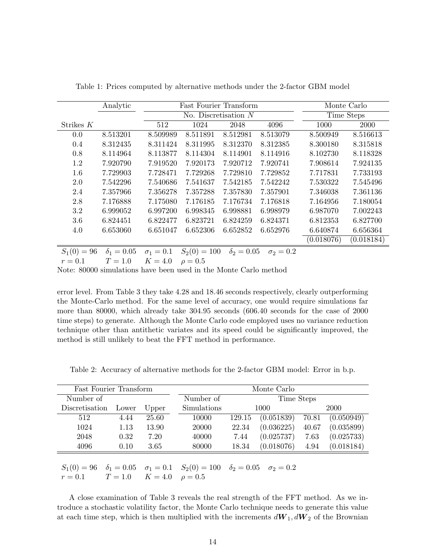|               | Analytic          | <b>Fast Fourier Transform</b> |                |                   |                  | Monte Carlo |            |
|---------------|-------------------|-------------------------------|----------------|-------------------|------------------|-------------|------------|
|               |                   | No. Discretisation $N$        |                |                   |                  | Time Steps  |            |
| Strikes $K$   |                   | 512                           | 1024           | 2048              | 4096             | 1000        | 2000       |
| 0.0           | 8.513201          | 8.509989                      | 8.511891       | 8.512981          | 8.513079         | 8.500949    | 8.516613   |
| 0.4           | 8.312435          | 8.311424                      | 8.311995       | 8.312370          | 8.312385         | 8.300180    | 8.315818   |
| 0.8           | 8.114964          | 8.113877                      | 8.114304       | 8.114901          | 8.114916         | 8.102730    | 8.118328   |
| 1.2           | 7.920790          | 7.919520                      | 7.920173       | 7.920712          | 7.920741         | 7.908614    | 7.924135   |
| 1.6           | 7.729903          | 7.728471                      | 7.729268       | 7.729810          | 7.729852         | 7.717831    | 7.733193   |
| 2.0           | 7.542296          | 7.540686                      | 7.541637       | 7.542185          | 7.542242         | 7.530322    | 7.545496   |
| 2.4           | 7.357966          | 7.356278                      | 7.357288       | 7.357830          | 7.357901         | 7.346038    | 7.361136   |
| 2.8           | 7.176888          | 7.175080                      | 7.176185       | 7.176734          | 7.176818         | 7.164956    | 7.180054   |
| 3.2           | 6.999052          | 6.997200                      | 6.998345       | 6.998881          | 6.998979         | 6.987070    | 7.002243   |
| 3.6           | 6.824451          | 6.822477                      | 6.823721       | 6.824259          | 6.824371         | 6.812353    | 6.827700   |
| 4.0           | 6.653060          | 6.651047                      | 6.652306       | 6.652852          | 6.652976         | 6.640874    | 6.656364   |
|               |                   |                               |                |                   |                  | (0.018076)  | (0.018184) |
| $S_1(0) = 96$ | $\delta_1 = 0.05$ | $\sigma_1 = 0.1$              | $S_2(0) = 100$ | $\delta_2 = 0.05$ | $\sigma_2 = 0.2$ |             |            |

Table 1: Prices computed by alternative methods under the 2-factor GBM model

 $S_1(0) = 96 \quad \delta_1 = 0.05 \quad \sigma_1 = 0.1 \quad S_2(0) = 100 \quad \delta_2 = 0.05 \quad \sigma_2 = 0.2$  $r = 0.1$   $T = 1.0$   $K = 4.0$   $\rho = 0.5$ 

Note: 80000 simulations have been used in the Monte Carlo method

error level. From Table 3 they take 4.28 and 18.46 seconds respectively, clearly outperforming the Monte-Carlo method. For the same level of accuracy, one would require simulations far more than 80000, which already take 304.95 seconds (606.40 seconds for the case of 2000 time steps) to generate. Although the Monte Carlo code employed uses no variance reduction technique other than antithetic variates and its speed could be significantly improved, the method is still unlikely to beat the FFT method in performance.

Table 2: Accuracy of alternative methods for the 2-factor GBM model: Error in b.p.

| <b>Fast Fourier Transform</b> |      |           | Monte Carlo |        |            |       |            |  |
|-------------------------------|------|-----------|-------------|--------|------------|-------|------------|--|
| Number of                     |      | Number of | Time Steps  |        |            |       |            |  |
| Discretisation<br>Lower       |      | Upper     | Simulations | 1000   |            | 2000  |            |  |
| 512                           | 4.44 | 25.60     | 10000       | 129.15 | (0.051839) | 70.81 | (0.050949) |  |
| 1024                          | 1.13 | 13.90     | 20000       | 22.34  | (0.036225) | 40.67 | (0.035899) |  |
| 2048                          | 0.32 | 7.20      | 40000       | 7.44   | (0.025737) | 7.63  | (0.025733) |  |
| 4096<br>3.65<br>0.10          |      |           | 80000       | 18.34  | (0.018076) | 4.94  | (0.018184) |  |
|                               |      |           |             |        |            |       |            |  |

 $S_1(0) = 96$   $\delta_1 = 0.05$   $\sigma_1 = 0.1$   $S_2(0) = 100$   $\delta_2 = 0.05$   $\sigma_2 = 0.2$  $r = 0.1$   $T = 1.0$   $K = 4.0$   $\rho = 0.5$ 

A close examination of Table 3 reveals the real strength of the FFT method. As we introduce a stochastic volatility factor, the Monte Carlo technique needs to generate this value at each time step, which is then multiplied with the increments  $dW_1, dW_2$  of the Brownian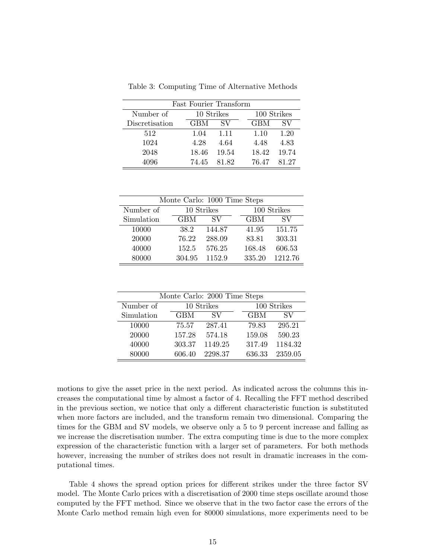| <b>Fast Fourier Transform</b> |            |            |            |             |  |  |  |
|-------------------------------|------------|------------|------------|-------------|--|--|--|
| Number of                     |            | 10 Strikes |            | 100 Strikes |  |  |  |
| Discretisation                | <b>GBM</b> | SV         | <b>GBM</b> | SV          |  |  |  |
| 512                           | 1.04       | 1.11       | 1.10       | 1.20        |  |  |  |
| 1024                          | 4.28       | 4.64       | 4.48       | 4.83        |  |  |  |
| 2048                          | 18.46      | 19.54      | 18.42      | 19.74       |  |  |  |
| 4096                          | 74.45      | 81.82      | 76.47      | 81.27       |  |  |  |

Table 3: Computing Time of Alternative Methods

| Monte Carlo: 1000 Time Steps |            |                |            |                |  |  |  |  |
|------------------------------|------------|----------------|------------|----------------|--|--|--|--|
| Number of                    | 10 Strikes |                |            | 100 Strikes    |  |  |  |  |
| Simulation                   | <b>GBM</b> | SV <sub></sub> | <b>GBM</b> | SV <sub></sub> |  |  |  |  |
| 10000                        | 38.2       | 144.87         | 41.95      | 151.75         |  |  |  |  |
| 20000                        | 76.22      | 288.09         | 83.81      | 303.31         |  |  |  |  |
| 40000                        | 152.5      | 576.25         | 168.48     | 606.53         |  |  |  |  |
| 80000                        | 304.95     | 1152.9         | 335.20     | 1212.76        |  |  |  |  |

| Monte Carlo: 2000 Time Steps |            |                |            |             |  |  |  |  |
|------------------------------|------------|----------------|------------|-------------|--|--|--|--|
| Number of                    | 10 Strikes |                |            | 100 Strikes |  |  |  |  |
| Simulation                   | <b>GBM</b> | SV <sub></sub> | <b>GBM</b> | SV          |  |  |  |  |
| 10000                        | 75.57      | 287.41         | 79.83      | 295.21      |  |  |  |  |
| 20000                        | 157.28     | 574.18         | 159.08     | 590.23      |  |  |  |  |
| 40000                        | 303.37     | 1149.25        | 317.49     | 1184.32     |  |  |  |  |
| 80000                        | 606.40     | 2298.37        | 636.33     | 2359.05     |  |  |  |  |

motions to give the asset price in the next period. As indicated across the columns this increases the computational time by almost a factor of 4. Recalling the FFT method described in the previous section, we notice that only a different characteristic function is substituted when more factors are included, and the transform remain two dimensional. Comparing the times for the GBM and SV models, we observe only a 5 to 9 percent increase and falling as we increase the discretisation number. The extra computing time is due to the more complex expression of the characteristic function with a larger set of parameters. For both methods however, increasing the number of strikes does not result in dramatic increases in the computational times.

Table 4 shows the spread option prices for different strikes under the three factor SV model. The Monte Carlo prices with a discretisation of 2000 time steps oscillate around those computed by the FFT method. Since we observe that in the two factor case the errors of the Monte Carlo method remain high even for 80000 simulations, more experiments need to be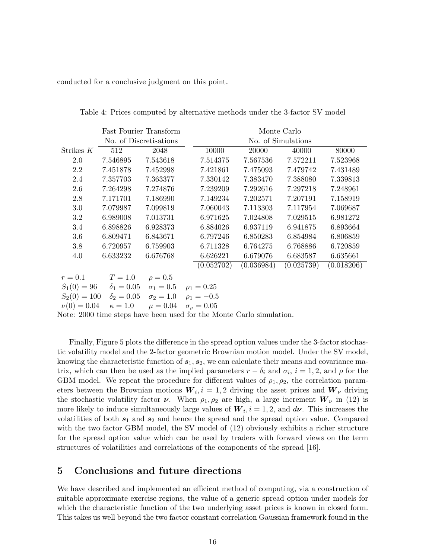conducted for a conclusive judgment on this point.

|           | Fast Fourier Transform |           | Monte Carlo        |                          |                          |                          |  |
|-----------|------------------------|-----------|--------------------|--------------------------|--------------------------|--------------------------|--|
|           | No. of Discretisations |           | No. of Simulations |                          |                          |                          |  |
| Strikes K | 512                    | 2048      | 10000              | 20000                    | 40000                    | 80000                    |  |
| 2.0       | 7.546895               | 7.543618  | 7.514375           | 7.567536                 | 7.572211                 | 7.523968                 |  |
| 2.2       | 7.451878               | 7.452998  | 7.421861           | 7.475093                 | 7.479742                 | 7.431489                 |  |
| 2.4       | 7.357703               | 7.363377  | 7.330142           | 7.383470                 | 7.388080                 | 7.339813                 |  |
| 2.6       | 7.264298               | 7.274876  | 7.239209           | 7.292616                 | 7.297218                 | 7.248961                 |  |
| 2.8       | 7.171701               | 7.186990  | 7.149234           | 7.202571                 | 7.207191                 | 7.158919                 |  |
| 3.0       | 7.079987               | 7.099819  | 7.060043           | 7.113303                 | 7.117954                 | 7.069687                 |  |
| 3.2       | 6.989008               | 7.013731  | 6.971625           | 7.024808                 | 7.029515                 | 6.981272                 |  |
| 3.4       | 6.898826               | 6.928373  | 6.884026           | 6.937119                 | 6.941875                 | 6.893664                 |  |
| 3.6       | 6.809471               | 6.843671  | 6.797246           | 6.850283                 | 6.854984                 | 6.806859                 |  |
| 3.8       | 6.720957               | 6.759903  | 6.711328           | 6.764275                 | 6.768886                 | 6.720859                 |  |
| 4.0       | 6.633232               | 6.676768  | 6.626221           | 6.679076                 | 6.683587                 | 6.635661                 |  |
|           |                        |           | (0.052702)         | $\left( 0.036984\right)$ | $\left( 0.025739\right)$ | $\left( 0.018206\right)$ |  |
| $r=0.1$   | $T=1.0$                | $a = 0.5$ |                    |                          |                          |                          |  |

Table 4: Prices computed by alternative methods under the 3-factor SV model

 $r = 0.1$   $T = 1.0$   $\rho = 0.5$  $S_1(0) = 96$   $\delta_1 = 0.05$   $\sigma_1 = 0.5$   $\rho_1 = 0.25$  $S_2(0) = 100 \quad \delta_2 = 0.05 \quad \sigma_2 = 1.0 \quad \rho_1 = -0.5$  $\nu(0) = 0.04 \quad \kappa = 1.0 \quad \mu = 0.04 \quad \sigma_{\nu} = 0.05$ 

Note: 2000 time steps have been used for the Monte Carlo simulation.

Finally, Figure 5 plots the difference in the spread option values under the 3-factor stochastic volatility model and the 2-factor geometric Brownian motion model. Under the SV model, knowing the characteristic function of  $s_1, s_2$ , we can calculate their means and covariance matrix, which can then be used as the implied parameters  $r - \delta_i$  and  $\sigma_i$ ,  $i = 1, 2$ , and  $\rho$  for the GBM model. We repeat the procedure for different values of  $\rho_1, \rho_2$ , the correlation parameters between the Brownian motions  $W_i, i = 1, 2$  driving the asset prices and  $W_{\nu}$  driving the stochastic volatility factor  $\nu$ . When  $\rho_1, \rho_2$  are high, a large increment  $W_{\nu}$  in (12) is more likely to induce simultaneously large values of  $W_i$ ,  $i = 1, 2$ , and  $d\nu$ . This increases the volatilities of both  $s_1$  and  $s_2$  and hence the spread and the spread option value. Compared with the two factor GBM model, the SV model of  $(12)$  obviously exhibits a richer structure for the spread option value which can be used by traders with forward views on the term structures of volatilities and correlations of the components of the spread [16].

### 5 Conclusions and future directions

We have described and implemented an efficient method of computing, via a construction of suitable approximate exercise regions, the value of a generic spread option under models for which the characteristic function of the two underlying asset prices is known in closed form. This takes us well beyond the two factor constant correlation Gaussian framework found in the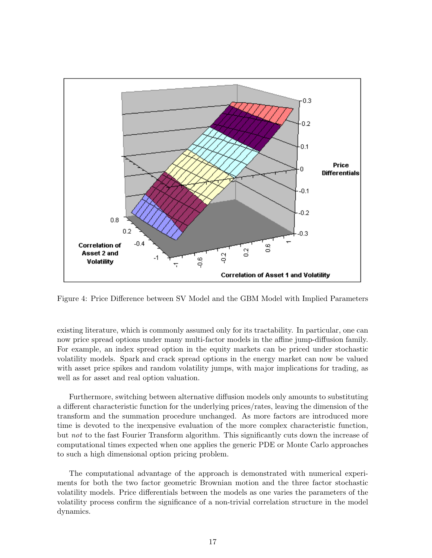

Figure 4: Price Difference between SV Model and the GBM Model with Implied Parameters

existing literature, which is commonly assumed only for its tractability. In particular, one can now price spread options under many multi-factor models in the affine jump-diffusion family. For example, an index spread option in the equity markets can be priced under stochastic volatility models. Spark and crack spread options in the energy market can now be valued with asset price spikes and random volatility jumps, with major implications for trading, as well as for asset and real option valuation.

Furthermore, switching between alternative diffusion models only amounts to substituting a different characteristic function for the underlying prices/rates, leaving the dimension of the transform and the summation procedure unchanged. As more factors are introduced more time is devoted to the inexpensive evaluation of the more complex characteristic function, but not to the fast Fourier Transform algorithm. This significantly cuts down the increase of computational times expected when one applies the generic PDE or Monte Carlo approaches to such a high dimensional option pricing problem.

The computational advantage of the approach is demonstrated with numerical experiments for both the two factor geometric Brownian motion and the three factor stochastic volatility models. Price differentials between the models as one varies the parameters of the volatility process confirm the significance of a non-trivial correlation structure in the model dynamics.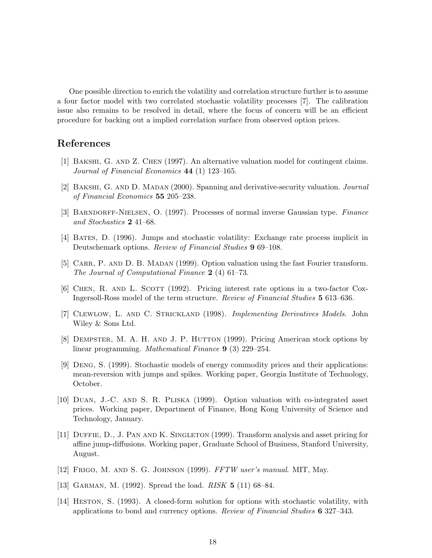One possible direction to enrich the volatility and correlation structure further is to assume a four factor model with two correlated stochastic volatility processes [7]. The calibration issue also remains to be resolved in detail, where the focus of concern will be an efficient procedure for backing out a implied correlation surface from observed option prices.

## References

- [1] Bakshi, G. and Z. Chen (1997). An alternative valuation model for contingent claims. Journal of Financial Economics 44 (1) 123–165.
- [2] Bakshi, G. and D. Madan (2000). Spanning and derivative-security valuation. Journal of Financial Economics 55 205–238.
- [3] Barndorff-Nielsen, O. (1997). Processes of normal inverse Gaussian type. Finance and Stochastics 2 41–68.
- [4] Bates, D. (1996). Jumps and stochastic volatility: Exchange rate process implicit in Deutschemark options. Review of Financial Studies 9 69–108.
- [5] CARR, P. AND D. B. MADAN (1999). Option valuation using the fast Fourier transform. The Journal of Computational Finance 2 (4) 61–73.
- [6] CHEN, R. AND L. SCOTT (1992). Pricing interest rate options in a two-factor Cox-Ingersoll-Ross model of the term structure. Review of Financial Studies 5 613–636.
- [7] Clewlow, L. and C. Strickland (1998). Implementing Derivatives Models. John Wiley & Sons Ltd.
- [8] Dempster, M. A. H. and J. P. Hutton (1999). Pricing American stock options by linear programming. Mathematical Finance 9 (3) 229–254.
- [9] Deng, S. (1999). Stochastic models of energy commodity prices and their applications: mean-reversion with jumps and spikes. Working paper, Georgia Institute of Technology, October.
- [10] Duan, J.-C. and S. R. Pliska (1999). Option valuation with co-integrated asset prices. Working paper, Department of Finance, Hong Kong University of Science and Technology, January.
- [11] Duffie, D., J. Pan and K. Singleton (1999). Transform analysis and asset pricing for affine jump-diffusions. Working paper, Graduate School of Business, Stanford University, August.
- [12] Frigo, M. and S. G. Johnson (1999). FFTW user's manual. MIT, May.
- [13] GARMAN, M. (1992). Spread the load. *RISK* **5** (11) 68–84.
- [14] Heston, S. (1993). A closed-form solution for options with stochastic volatility, with applications to bond and currency options. Review of Financial Studies 6 327–343.